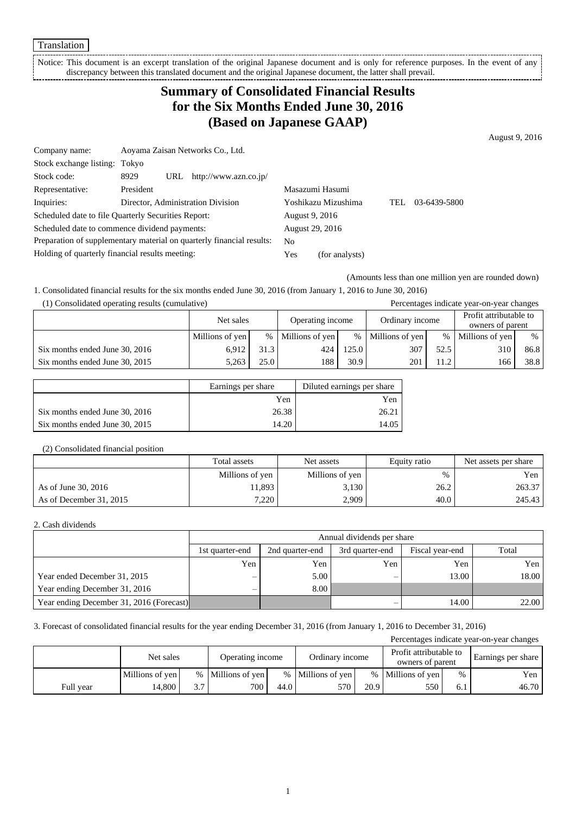Translation

Notice: This document is an excerpt translation of the original Japanese document and is only for reference purposes. In the event of any discrepancy between this translated document and the original Japanese document, the latter shall prevail. i<br>!-----------------------------------

# **Summary of Consolidated Financial Results for the Six Months Ended June 30, 2016 (Based on Japanese GAAP)**

August 9, 2016

| Company name:                                                         | Aoyama Zaisan Networks Co., Ltd.     |                        |     |              |
|-----------------------------------------------------------------------|--------------------------------------|------------------------|-----|--------------|
| Stock exchange listing: Tokyo                                         |                                      |                        |     |              |
| Stock code:                                                           | 8929<br>http://www.azn.co.jp/<br>URL |                        |     |              |
| Representative:                                                       | President                            | Masazumi Hasumi        |     |              |
| Inquiries:                                                            | Director, Administration Division    | Yoshikazu Mizushima    | TEL | 03-6439-5800 |
| Scheduled date to file Quarterly Securities Report:                   |                                      | August 9, 2016         |     |              |
| Scheduled date to commence dividend payments:                         |                                      | <b>August 29, 2016</b> |     |              |
| Preparation of supplementary material on quarterly financial results: |                                      | N <sub>0</sub>         |     |              |
| Holding of quarterly financial results meeting:                       |                                      | Yes<br>(for analysts)  |     |              |

(Amounts less than one million yen are rounded down)

1. Consolidated financial results for the six months ended June 30, 2016 (from January 1, 2016 to June 30, 2016)

| (1) Consolidated operating results (cumulative) |                 |      | Percentages indicate year-on-year changes |                                     |                 |      |                                            |      |
|-------------------------------------------------|-----------------|------|-------------------------------------------|-------------------------------------|-----------------|------|--------------------------------------------|------|
|                                                 | Net sales       |      |                                           | Operating income<br>Ordinary income |                 |      | Profit attributable to<br>owners of parent |      |
|                                                 | Millions of yen | $\%$ | Millions of yen                           | $\%$                                | Millions of yen | $\%$ | Millions of yen                            | %    |
| Six months ended June 30, 2016                  | 6.912           | 31.3 | 424                                       | 125.0                               | 307             | 52.5 | 310                                        | 86.8 |
| Six months ended June 30, 2015                  | 5,263           | 25.0 | 188                                       | 30.9                                | 201             | 11.2 | 166                                        | 38.8 |

|                                | Earnings per share | Diluted earnings per share |
|--------------------------------|--------------------|----------------------------|
|                                | Yen                | Yen                        |
| Six months ended June 30, 2016 | 26.38              | 26.21                      |
| Six months ended June 30, 2015 | 14.20              | 14.05                      |

#### (2) Consolidated financial position

|                         | Total assets    | Net assets      | Equity ratio | Net assets per share |
|-------------------------|-----------------|-----------------|--------------|----------------------|
|                         | Millions of yen | Millions of yen | %            | Yen                  |
| As of June 30, 2016     | 11,893          | 3,130           | 26.2         | 263.37               |
| As of December 31, 2015 | 7,220           | 2,909           | 40.0         | 245.43               |

#### 2. Cash dividends

|                                          | Annual dividends per share |                 |                 |                 |       |  |  |
|------------------------------------------|----------------------------|-----------------|-----------------|-----------------|-------|--|--|
|                                          | 1st quarter-end            | 2nd quarter-end | 3rd quarter-end | Fiscal year-end | Total |  |  |
|                                          | Yen                        | Yen             | Yen             | Yen             | Yen   |  |  |
| Year ended December 31, 2015             |                            | 5.00            |                 | 13.00           | 18.00 |  |  |
| Year ending December 31, 2016            |                            | 8.00            |                 |                 |       |  |  |
| Year ending December 31, 2016 (Forecast) |                            |                 |                 | 14.00           | 22.00 |  |  |

#### 3. Forecast of consolidated financial results for the year ending December 31, 2016 (from January 1, 2016 to December 31, 2016)

| Percentages indicate year-on-year changes |                 |     |                   |      |                   |      |                                            |      |                    |
|-------------------------------------------|-----------------|-----|-------------------|------|-------------------|------|--------------------------------------------|------|--------------------|
|                                           | Net sales       |     | Operating income  |      | Ordinary income   |      | Profit attributable to<br>owners of parent |      | Earnings per share |
|                                           | Millions of yen |     | % Millions of yen |      | % Millions of yen |      | % Millions of yen                          | $\%$ | Yen                |
| Full year                                 | 14.800          | 3.7 | 700               | 44.0 | 570               | 20.9 | 550                                        | 6.1  | 46.70              |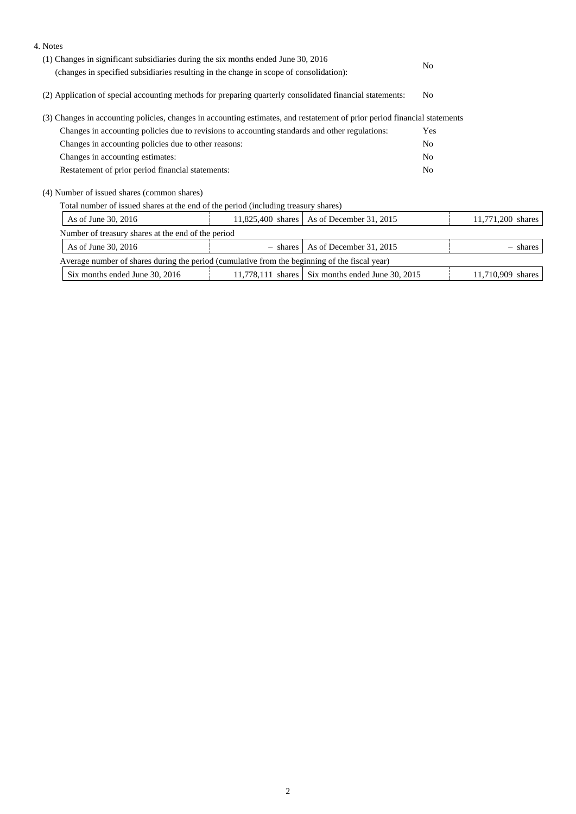| 4. Notes                                                                                                                  |          |                         |                |                   |  |
|---------------------------------------------------------------------------------------------------------------------------|----------|-------------------------|----------------|-------------------|--|
| (1) Changes in significant subsidiaries during the six months ended June 30, 2016                                         |          |                         | N <sub>0</sub> |                   |  |
| (changes in specified subsidiaries resulting in the change in scope of consolidation):                                    |          |                         |                |                   |  |
| (2) Application of special accounting methods for preparing quarterly consolidated financial statements:                  | No.      |                         |                |                   |  |
| (3) Changes in accounting policies, changes in accounting estimates, and restatement of prior period financial statements |          |                         |                |                   |  |
| Changes in accounting policies due to revisions to accounting standards and other regulations:                            |          |                         | Yes            |                   |  |
| Changes in accounting policies due to other reasons:                                                                      |          |                         | N <sub>0</sub> |                   |  |
| Changes in accounting estimates:                                                                                          |          |                         | N <sub>o</sub> |                   |  |
| Restatement of prior period financial statements:                                                                         |          |                         | N <sub>o</sub> |                   |  |
| (4) Number of issued shares (common shares)                                                                               |          |                         |                |                   |  |
| Total number of issued shares at the end of the period (including treasury shares)                                        |          |                         |                |                   |  |
| As of June 30, 2016<br>11,825,400 shares   As of December 31, 2015                                                        |          |                         |                | 11,771,200 shares |  |
| Number of treasury shares at the end of the period                                                                        |          |                         |                |                   |  |
| As of June 30, 2016                                                                                                       | - shares | As of December 31, 2015 |                | - shares          |  |

| Average number of shares during the period (cumulative from the beginning of the fiscal year) |  |                                                  |                   |  |  |
|-----------------------------------------------------------------------------------------------|--|--------------------------------------------------|-------------------|--|--|
| Six months ended June 30, 2016                                                                |  | 11.778.111 shares Six months ended June 30, 2015 | 11,710,909 shares |  |  |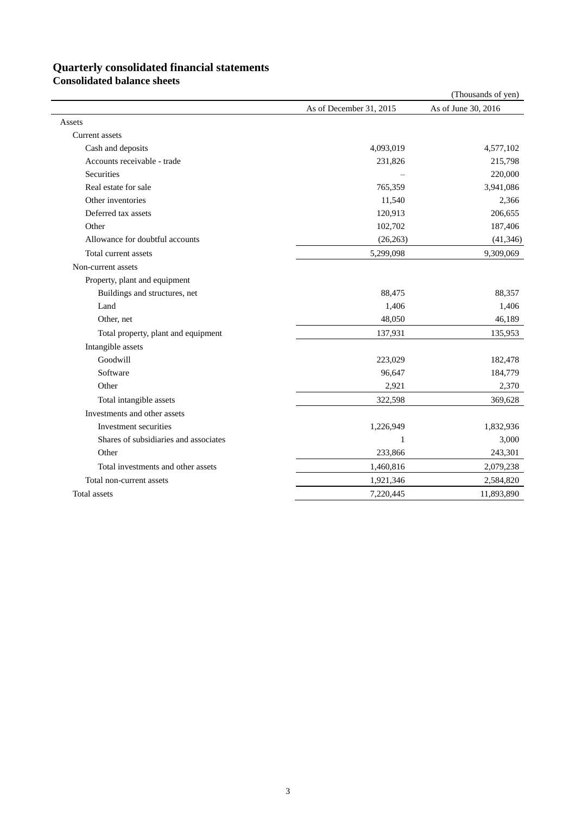### **Quarterly consolidated financial statements**

**Consolidated balance sheets**

|                                       |                         | (Thousands of yen)  |
|---------------------------------------|-------------------------|---------------------|
|                                       | As of December 31, 2015 | As of June 30, 2016 |
| Assets                                |                         |                     |
| Current assets                        |                         |                     |
| Cash and deposits                     | 4,093,019               | 4,577,102           |
| Accounts receivable - trade           | 231,826                 | 215,798             |
| Securities                            |                         | 220,000             |
| Real estate for sale                  | 765,359                 | 3,941,086           |
| Other inventories                     | 11,540                  | 2,366               |
| Deferred tax assets                   | 120,913                 | 206,655             |
| Other                                 | 102,702                 | 187,406             |
| Allowance for doubtful accounts       | (26, 263)               | (41, 346)           |
| Total current assets                  | 5,299,098               | 9,309,069           |
| Non-current assets                    |                         |                     |
| Property, plant and equipment         |                         |                     |
| Buildings and structures, net         | 88,475                  | 88,357              |
| Land                                  | 1,406                   | 1,406               |
| Other, net                            | 48,050                  | 46,189              |
| Total property, plant and equipment   | 137,931                 | 135,953             |
| Intangible assets                     |                         |                     |
| Goodwill                              | 223,029                 | 182,478             |
| Software                              | 96,647                  | 184,779             |
| Other                                 | 2,921                   | 2,370               |
| Total intangible assets               | 322,598                 | 369,628             |
| Investments and other assets          |                         |                     |
| Investment securities                 | 1,226,949               | 1,832,936           |
| Shares of subsidiaries and associates | $\mathbf{1}$            | 3,000               |
| Other                                 | 233,866                 | 243,301             |
| Total investments and other assets    | 1,460,816               | 2,079,238           |
| Total non-current assets              | 1,921,346               | 2,584,820           |
| Total assets                          | 7,220,445               | 11,893,890          |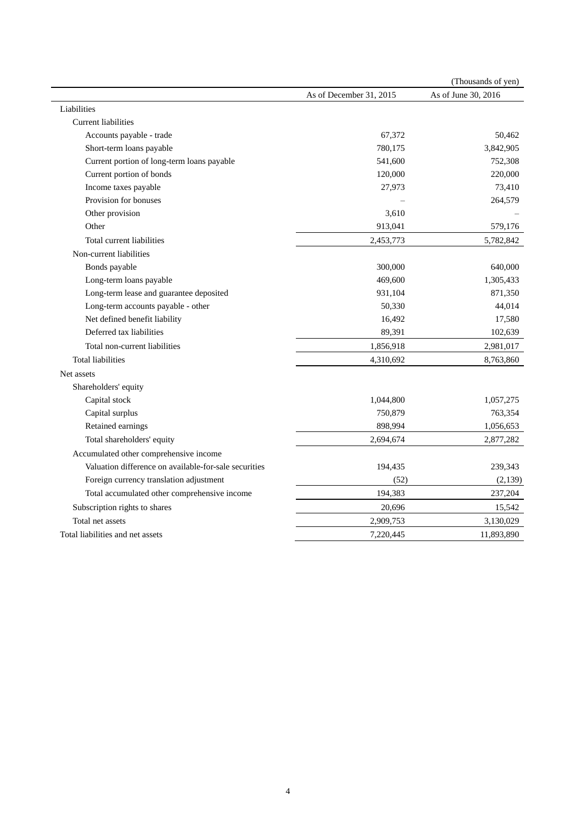|                                                       |                         | (Thousands of yen)  |
|-------------------------------------------------------|-------------------------|---------------------|
|                                                       | As of December 31, 2015 | As of June 30, 2016 |
| Liabilities                                           |                         |                     |
| Current liabilities                                   |                         |                     |
| Accounts payable - trade                              | 67,372                  | 50,462              |
| Short-term loans payable                              | 780,175                 | 3,842,905           |
| Current portion of long-term loans payable            | 541,600                 | 752,308             |
| Current portion of bonds                              | 120,000                 | 220,000             |
| Income taxes payable                                  | 27,973                  | 73,410              |
| Provision for bonuses                                 |                         | 264,579             |
| Other provision                                       | 3,610                   |                     |
| Other                                                 | 913,041                 | 579,176             |
| Total current liabilities                             | 2,453,773               | 5,782,842           |
| Non-current liabilities                               |                         |                     |
| Bonds payable                                         | 300,000                 | 640,000             |
| Long-term loans payable                               | 469,600                 | 1,305,433           |
| Long-term lease and guarantee deposited               | 931,104                 | 871,350             |
| Long-term accounts payable - other                    | 50,330                  | 44,014              |
| Net defined benefit liability                         | 16,492                  | 17,580              |
| Deferred tax liabilities                              | 89,391                  | 102,639             |
| Total non-current liabilities                         | 1,856,918               | 2,981,017           |
| <b>Total liabilities</b>                              | 4,310,692               | 8,763,860           |
| Net assets                                            |                         |                     |
| Shareholders' equity                                  |                         |                     |
| Capital stock                                         | 1,044,800               | 1,057,275           |
| Capital surplus                                       | 750,879                 | 763,354             |
| Retained earnings                                     | 898,994                 | 1,056,653           |
| Total shareholders' equity                            | 2,694,674               | 2,877,282           |
| Accumulated other comprehensive income                |                         |                     |
| Valuation difference on available-for-sale securities | 194,435                 | 239,343             |
| Foreign currency translation adjustment               | (52)                    | (2,139)             |
| Total accumulated other comprehensive income          | 194,383                 | 237,204             |
| Subscription rights to shares                         | 20,696                  | 15,542              |
| Total net assets                                      | 2,909,753               | 3,130,029           |
| Total liabilities and net assets                      | 7,220,445               | 11,893,890          |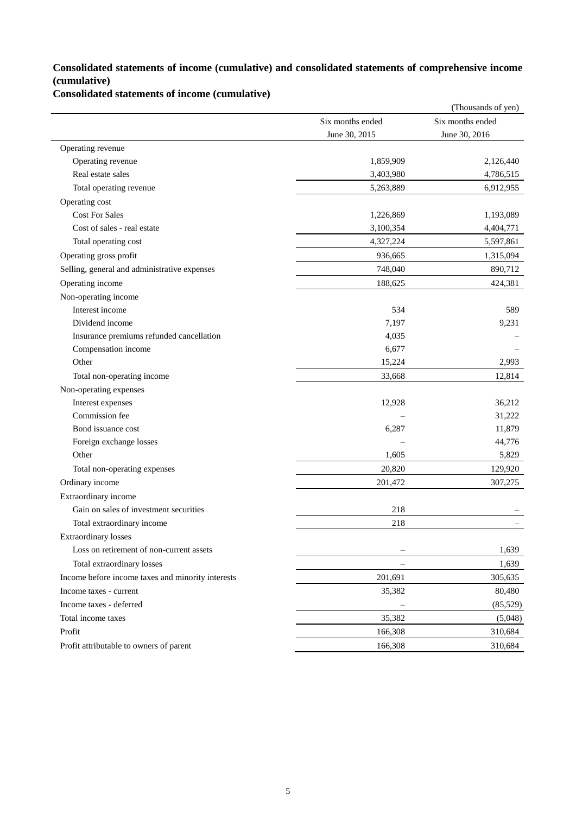### **Consolidated statements of income (cumulative) and consolidated statements of comprehensive income (cumulative)**

**Consolidated statements of income (cumulative)**

|                                                   |                          | (Thousands of yen) |
|---------------------------------------------------|--------------------------|--------------------|
|                                                   | Six months ended         | Six months ended   |
|                                                   | June 30, 2015            | June 30, 2016      |
| Operating revenue                                 |                          |                    |
| Operating revenue                                 | 1,859,909                | 2,126,440          |
| Real estate sales                                 | 3,403,980                | 4,786,515          |
| Total operating revenue                           | 5,263,889                | 6,912,955          |
| Operating cost                                    |                          |                    |
| <b>Cost For Sales</b>                             | 1,226,869                | 1,193,089          |
| Cost of sales - real estate                       | 3,100,354                | 4,404,771          |
| Total operating cost                              | 4,327,224                | 5,597,861          |
| Operating gross profit                            | 936,665                  | 1,315,094          |
| Selling, general and administrative expenses      | 748,040                  | 890,712            |
| Operating income                                  | 188,625                  | 424,381            |
| Non-operating income                              |                          |                    |
| Interest income                                   | 534                      | 589                |
| Dividend income                                   | 7,197                    | 9,231              |
| Insurance premiums refunded cancellation          | 4,035                    |                    |
| Compensation income                               | 6,677                    |                    |
| Other                                             | 15,224                   | 2,993              |
| Total non-operating income                        | 33,668                   | 12,814             |
| Non-operating expenses                            |                          |                    |
| Interest expenses                                 | 12,928                   | 36,212             |
| Commission fee                                    |                          | 31,222             |
| Bond issuance cost                                | 6,287                    | 11,879             |
| Foreign exchange losses                           |                          | 44,776             |
| Other                                             | 1,605                    | 5,829              |
| Total non-operating expenses                      | 20,820                   | 129,920            |
| Ordinary income                                   | 201,472                  | 307,275            |
| Extraordinary income                              |                          |                    |
| Gain on sales of investment securities            | 218                      |                    |
| Total extraordinary income                        | 218                      |                    |
| <b>Extraordinary losses</b>                       |                          |                    |
| Loss on retirement of non-current assets          |                          | 1,639              |
| Total extraordinary losses                        | $\qquad \qquad -$        | 1,639              |
| Income before income taxes and minority interests | 201,691                  | 305,635            |
| Income taxes - current                            | 35,382                   | 80,480             |
| Income taxes - deferred                           | $\overline{\phantom{m}}$ | (85, 529)          |
| Total income taxes                                | 35,382                   | (5,048)            |
| Profit                                            | 166,308                  | 310,684            |
| Profit attributable to owners of parent           | 166,308                  | 310,684            |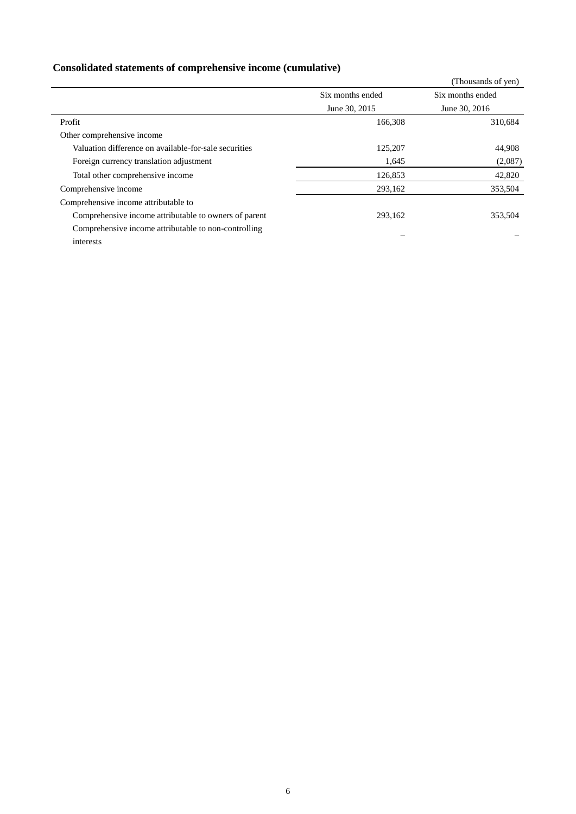## **Consolidated statements of comprehensive income (cumulative)**

|                                                       |                  | (Thousands of yen) |
|-------------------------------------------------------|------------------|--------------------|
|                                                       | Six months ended | Six months ended   |
|                                                       | June 30, 2015    | June 30, 2016      |
| Profit                                                | 166,308          | 310,684            |
| Other comprehensive income                            |                  |                    |
| Valuation difference on available-for-sale securities | 125,207          | 44,908             |
| Foreign currency translation adjustment               | 1,645            | (2,087)            |
| Total other comprehensive income                      | 126,853          | 42,820             |
| Comprehensive income                                  | 293,162          | 353,504            |
| Comprehensive income attributable to                  |                  |                    |
| Comprehensive income attributable to owners of parent | 293,162          | 353,504            |
| Comprehensive income attributable to non-controlling  |                  |                    |
| interests                                             |                  |                    |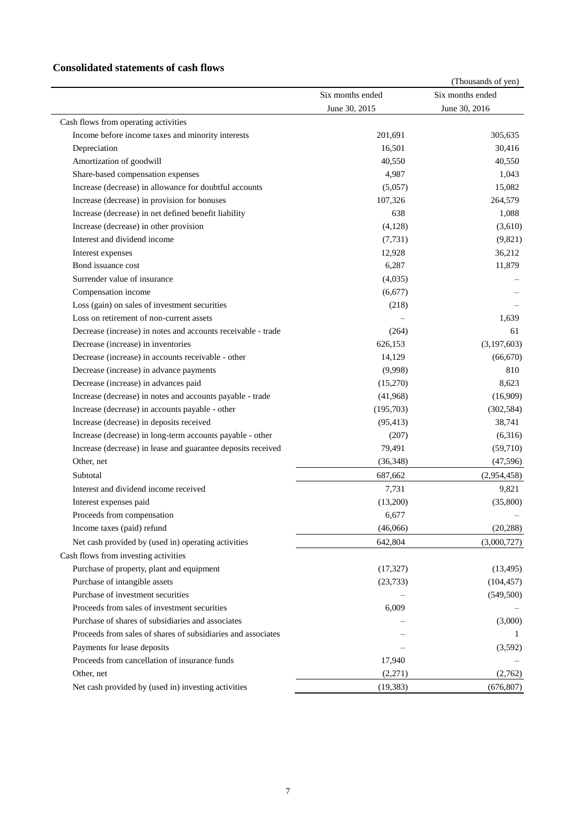### **Consolidated statements of cash flows**

|                                                              |                  | (Thousands of yen) |
|--------------------------------------------------------------|------------------|--------------------|
|                                                              | Six months ended | Six months ended   |
|                                                              | June 30, 2015    | June 30, 2016      |
| Cash flows from operating activities                         |                  |                    |
| Income before income taxes and minority interests            | 201,691          | 305,635            |
| Depreciation                                                 | 16,501           | 30,416             |
| Amortization of goodwill                                     | 40,550           | 40,550             |
| Share-based compensation expenses                            | 4,987            | 1,043              |
| Increase (decrease) in allowance for doubtful accounts       | (5,057)          | 15,082             |
| Increase (decrease) in provision for bonuses                 | 107,326          | 264,579            |
| Increase (decrease) in net defined benefit liability         | 638              | 1,088              |
| Increase (decrease) in other provision                       | (4,128)          | (3,610)            |
| Interest and dividend income                                 | (7, 731)         | (9,821)            |
| Interest expenses                                            | 12,928           | 36,212             |
| Bond issuance cost                                           | 6,287            | 11,879             |
| Surrender value of insurance                                 | (4,035)          |                    |
| Compensation income                                          | (6,677)          |                    |
| Loss (gain) on sales of investment securities                | (218)            |                    |
| Loss on retirement of non-current assets                     |                  | 1.639              |
| Decrease (increase) in notes and accounts receivable - trade | (264)            | 61                 |
| Decrease (increase) in inventories                           | 626,153          | (3,197,603)        |
| Decrease (increase) in accounts receivable - other           | 14,129           | (66, 670)          |
| Decrease (increase) in advance payments                      | (9,998)          | 810                |
| Decrease (increase) in advances paid                         | (15,270)         | 8,623              |
| Increase (decrease) in notes and accounts payable - trade    | (41,968)         | (16,909)           |
| Increase (decrease) in accounts payable - other              | (195,703)        | (302, 584)         |
| Increase (decrease) in deposits received                     | (95, 413)        | 38,741             |
| Increase (decrease) in long-term accounts payable - other    | (207)            | (6,316)            |
| Increase (decrease) in lease and guarantee deposits received | 79,491           | (59,710)           |
| Other, net                                                   | (36, 348)        | (47, 596)          |
| Subtotal                                                     | 687,662          | (2,954,458)        |
| Interest and dividend income received                        | 7,731            | 9,821              |
| Interest expenses paid                                       | (13,200)         | (35,800)           |
| Proceeds from compensation                                   | 6,677            |                    |
| Income taxes (paid) refund                                   | (46,066)         | (20, 288)          |
| Net cash provided by (used in) operating activities          | 642,804          | (3,000,727)        |
| Cash flows from investing activities                         |                  |                    |
| Purchase of property, plant and equipment                    | (17, 327)        | (13, 495)          |
| Purchase of intangible assets                                | (23, 733)        | (104, 457)         |
| Purchase of investment securities                            |                  | (549, 500)         |
| Proceeds from sales of investment securities                 | 6,009            |                    |
| Purchase of shares of subsidiaries and associates            |                  | (3,000)            |
| Proceeds from sales of shares of subsidiaries and associates |                  |                    |
|                                                              |                  | -1                 |
| Payments for lease deposits                                  |                  | (3,592)            |
| Proceeds from cancellation of insurance funds                | 17,940           |                    |
| Other, net                                                   | (2,271)          | (2,762)            |
| Net cash provided by (used in) investing activities          | (19, 383)        | (676, 807)         |